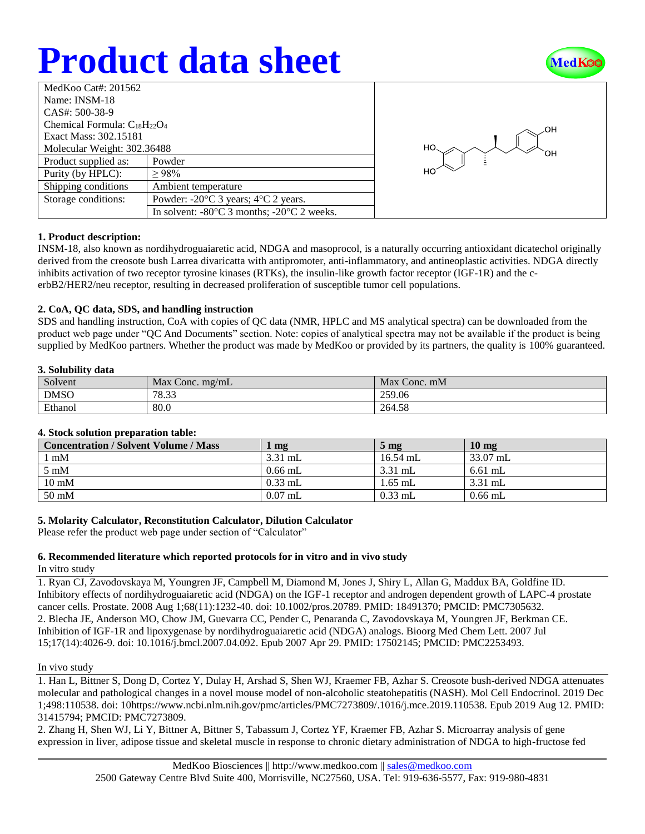# **Product data sheet**



| MedKoo Cat#: 201562                 |                                                                |  |  |  |
|-------------------------------------|----------------------------------------------------------------|--|--|--|
| Name: INSM-18                       |                                                                |  |  |  |
| CAS#: 500-38-9                      |                                                                |  |  |  |
| Chemical Formula: $C_{18}H_{22}O_4$ |                                                                |  |  |  |
| Exact Mass: 302.15181               |                                                                |  |  |  |
| Molecular Weight: 302.36488         |                                                                |  |  |  |
| Product supplied as:                | Powder                                                         |  |  |  |
| Purity (by HPLC):                   | >98%                                                           |  |  |  |
| Shipping conditions                 | Ambient temperature                                            |  |  |  |
| Storage conditions:                 | Powder: $-20^{\circ}$ C 3 years; $4^{\circ}$ C 2 years.        |  |  |  |
|                                     | In solvent: $-80^{\circ}$ C 3 months; $-20^{\circ}$ C 2 weeks. |  |  |  |



## **1. Product description:**

INSM-18, also known as nordihydroguaiaretic acid, NDGA and masoprocol, is a naturally occurring antioxidant dicatechol originally derived from the creosote bush Larrea divaricatta with antipromoter, anti-inflammatory, and antineoplastic activities. NDGA directly inhibits activation of two receptor tyrosine kinases (RTKs), the insulin-like growth factor receptor (IGF-1R) and the cerbB2/HER2/neu receptor, resulting in decreased proliferation of susceptible tumor cell populations.

## **2. CoA, QC data, SDS, and handling instruction**

SDS and handling instruction, CoA with copies of QC data (NMR, HPLC and MS analytical spectra) can be downloaded from the product web page under "QC And Documents" section. Note: copies of analytical spectra may not be available if the product is being supplied by MedKoo partners. Whether the product was made by MedKoo or provided by its partners, the quality is 100% guaranteed.

### **3. Solubility data**

| Solvent     | Max<br>$\le$ Conc. mg/mL | Max Conc. mM |
|-------------|--------------------------|--------------|
| <b>DMSO</b> | 78.33                    | 259.06       |
| Ethanol     | 80.0                     | 264.58       |

## **4. Stock solution preparation table:**

| <b>Concentration / Solvent Volume / Mass</b> | mg        | $5 \text{ mg}$ | $10 \text{ mg}$ |
|----------------------------------------------|-----------|----------------|-----------------|
| $1 \text{ mM}$                               | $3.31$ mL | $16.54$ mL     | 33.07 mL        |
| $5 \text{ mM}$                               | $0.66$ mL | $3.31$ mL      | $6.61$ mL       |
| $10 \text{ mM}$                              | $0.33$ mL | $1.65$ mL      | $3.31$ mL       |
| 50 mM                                        | $0.07$ mL | $0.33$ mL      | $0.66$ mL       |

## **5. Molarity Calculator, Reconstitution Calculator, Dilution Calculator**

Please refer the product web page under section of "Calculator"

## **6. Recommended literature which reported protocols for in vitro and in vivo study**

In vitro study

1. Ryan CJ, Zavodovskaya M, Youngren JF, Campbell M, Diamond M, Jones J, Shiry L, Allan G, Maddux BA, Goldfine ID. Inhibitory effects of nordihydroguaiaretic acid (NDGA) on the IGF-1 receptor and androgen dependent growth of LAPC-4 prostate cancer cells. Prostate. 2008 Aug 1;68(11):1232-40. doi: 10.1002/pros.20789. PMID: 18491370; PMCID: PMC7305632. 2. Blecha JE, Anderson MO, Chow JM, Guevarra CC, Pender C, Penaranda C, Zavodovskaya M, Youngren JF, Berkman CE. Inhibition of IGF-1R and lipoxygenase by nordihydroguaiaretic acid (NDGA) analogs. Bioorg Med Chem Lett. 2007 Jul 15;17(14):4026-9. doi: 10.1016/j.bmcl.2007.04.092. Epub 2007 Apr 29. PMID: 17502145; PMCID: PMC2253493.

#### In vivo study

1. Han L, Bittner S, Dong D, Cortez Y, Dulay H, Arshad S, Shen WJ, Kraemer FB, Azhar S. Creosote bush-derived NDGA attenuates molecular and pathological changes in a novel mouse model of non-alcoholic steatohepatitis (NASH). Mol Cell Endocrinol. 2019 Dec 1;498:110538. doi: 10https://www.ncbi.nlm.nih.gov/pmc/articles/PMC7273809/.1016/j.mce.2019.110538. Epub 2019 Aug 12. PMID: 31415794; PMCID: PMC7273809.

2. Zhang H, Shen WJ, Li Y, Bittner A, Bittner S, Tabassum J, Cortez YF, Kraemer FB, Azhar S. Microarray analysis of gene expression in liver, adipose tissue and skeletal muscle in response to chronic dietary administration of NDGA to high-fructose fed